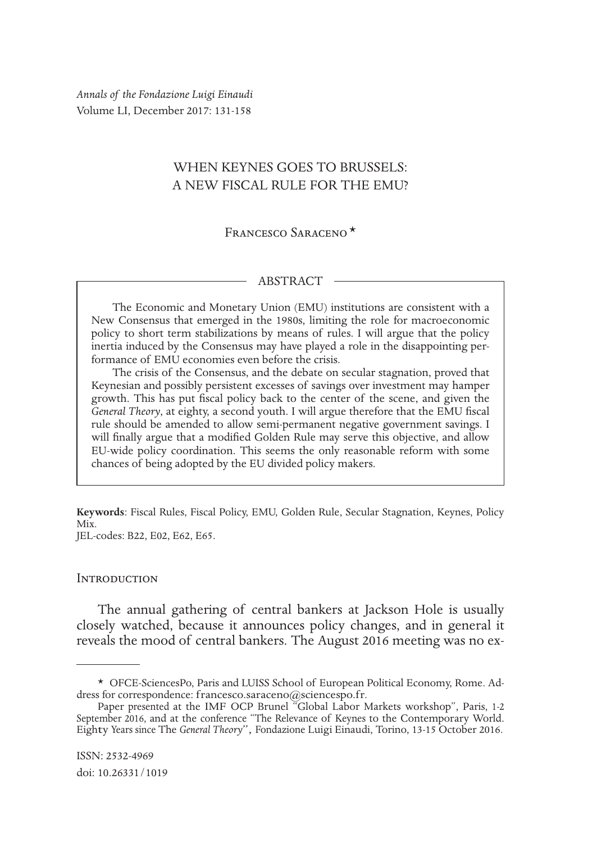*Annals of the Fondazione Luigi Einaudi* Volume LI, December 2017: 131-158

# WHEN KEYNES GOES TO BRUSSELS: A NEW FISCAL RULE FOR THE EMU?

Francesco Saraceno\*

#### ABSTRACT

The Economic and Monetary Union (EMU) institutions are consistent with a New Consensus that emerged in the 1980s, limiting the role for macroeconomic policy to short term stabilizations by means of rules. I will argue that the policy inertia induced by the Consensus may have played a role in the disappointing performance of EMU economies even before the crisis.

The crisis of the Consensus, and the debate on secular stagnation, proved that Keynesian and possibly persistent excesses of savings over investment may hamper growth. This has put fiscal policy back to the center of the scene, and given the *General Theory*, at eighty, a second youth. I will argue therefore that the EMU fiscal rule should be amended to allow semi-permanent negative government savings. I will finally argue that a modified Golden Rule may serve this objective, and allow EU-wide policy coordination. This seems the only reasonable reform with some chances of being adopted by the EU divided policy makers.

**Keywords**: Fiscal Rules, Fiscal Policy, EMU, Golden Rule, Secular Stagnation, Keynes, Policy Mix. JEL-codes: B22, E02, E62, E65.

#### **INTRODUCTION**

The annual gathering of central bankers at Jackson Hole is usually closely watched, because it announces policy changes, and in general it reveals the mood of central bankers. The August 2016 meeting was no ex-

<sup>\*</sup> OFCE-SciencesPo, Paris and LUISS School of European Political Economy, Rome. Address for correspondence: francesco.saraceno@sciencespo.fr.

Paper presented at the IMF OCP Brunel "Global Labor Markets workshop", Paris, 1-2 September 2016, and at the conference "The Relevance of Keynes to the Contemporary World. Eighty Years since The *General Theory*", Fondazione Luigi Einaudi, Torino, 13-15 October 2016.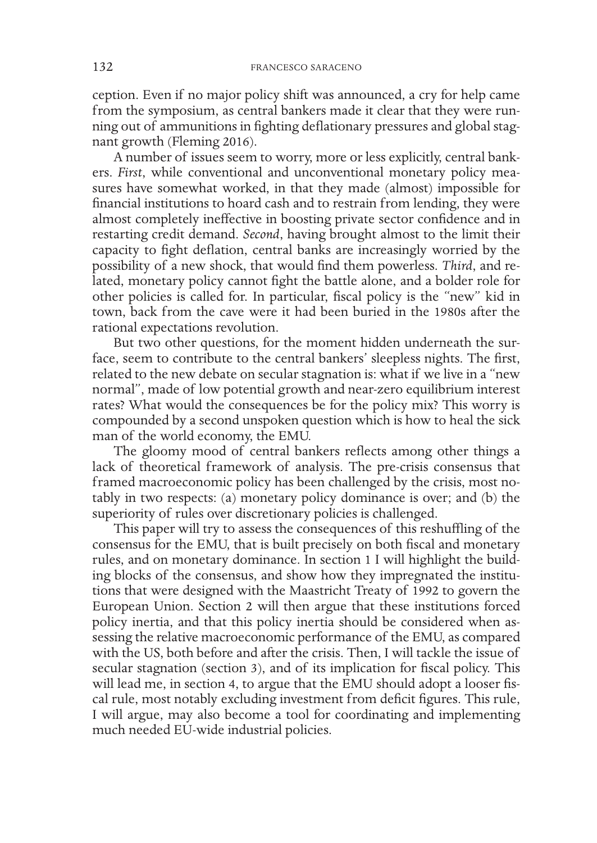ception. Even if no major policy shift was announced, a cry for help came from the symposium, as central bankers made it clear that they were running out of ammunitions in fighting deflationary pressures and global stagnant growth (Fleming 2016).

A number of issues seem to worry, more or less explicitly, central bankers. *First*, while conventional and unconventional monetary policy measures have somewhat worked, in that they made (almost) impossible for financial institutions to hoard cash and to restrain from lending, they were almost completely ineffective in boosting private sector confidence and in restarting credit demand. *Second*, having brought almost to the limit their capacity to fight deflation, central banks are increasingly worried by the possibility of a new shock, that would find them powerless. *Third*, and related, monetary policy cannot fight the battle alone, and a bolder role for other policies is called for. In particular, fiscal policy is the "new" kid in town, back from the cave were it had been buried in the 1980s after the rational expectations revolution.

But two other questions, for the moment hidden underneath the surface, seem to contribute to the central bankers' sleepless nights. The first, related to the new debate on secular stagnation is: what if we live in a "new normal", made of low potential growth and near-zero equilibrium interest rates? What would the consequences be for the policy mix? This worry is compounded by a second unspoken question which is how to heal the sick man of the world economy, the EMU.

The gloomy mood of central bankers reflects among other things a lack of theoretical framework of analysis. The pre-crisis consensus that framed macroeconomic policy has been challenged by the crisis, most notably in two respects: (a) monetary policy dominance is over; and (b) the superiority of rules over discretionary policies is challenged.

This paper will try to assess the consequences of this reshuffling of the consensus for the EMU, that is built precisely on both fiscal and monetary rules, and on monetary dominance. In section 1 I will highlight the building blocks of the consensus, and show how they impregnated the institutions that were designed with the Maastricht Treaty of 1992 to govern the European Union. Section 2 will then argue that these institutions forced policy inertia, and that this policy inertia should be considered when assessing the relative macroeconomic performance of the EMU, as compared with the US, both before and after the crisis. Then, I will tackle the issue of secular stagnation (section 3), and of its implication for fiscal policy. This will lead me, in section 4, to argue that the EMU should adopt a looser fiscal rule, most notably excluding investment from deficit figures. This rule, I will argue, may also become a tool for coordinating and implementing much needed EU-wide industrial policies.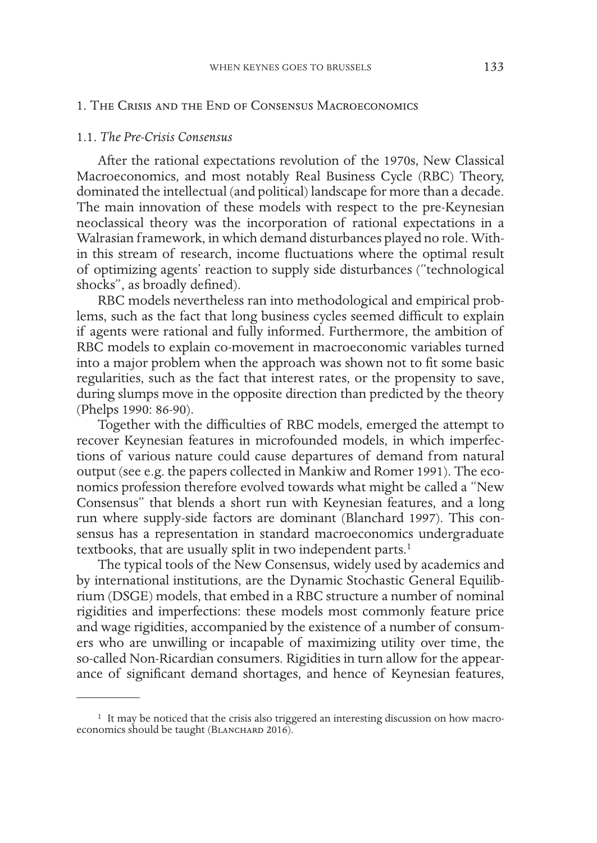# 1. The Crisis and the End of Consensus Macroeconomics

### 1.1. *The Pre-Crisis Consensus*

After the rational expectations revolution of the 1970s, New Classical Macroeconomics, and most notably Real Business Cycle (RBC) Theory, dominated the intellectual (and political) landscape for more than a decade. The main innovation of these models with respect to the pre-Keynesian neoclassical theory was the incorporation of rational expectations in a Walrasian framework, in which demand disturbances played no role. Within this stream of research, income fluctuations where the optimal result of optimizing agents' reaction to supply side disturbances ("technological shocks", as broadly defined).

RBC models nevertheless ran into methodological and empirical problems, such as the fact that long business cycles seemed difficult to explain if agents were rational and fully informed. Furthermore, the ambition of RBC models to explain co-movement in macroeconomic variables turned into a major problem when the approach was shown not to fit some basic regularities, such as the fact that interest rates, or the propensity to save, during slumps move in the opposite direction than predicted by the theory (Phelps 1990: 86-90).

Together with the difficulties of RBC models, emerged the attempt to recover Keynesian features in microfounded models, in which imperfections of various nature could cause departures of demand from natural output (see e.g. the papers collected in Mankiw and Romer 1991). The economics profession therefore evolved towards what might be called a "New Consensus" that blends a short run with Keynesian features, and a long run where supply-side factors are dominant (Blanchard 1997). This consensus has a representation in standard macroeconomics undergraduate textbooks, that are usually split in two independent parts.<sup>1</sup>

The typical tools of the New Consensus, widely used by academics and by international institutions, are the Dynamic Stochastic General Equilibrium (DSGE) models, that embed in a RBC structure a number of nominal rigidities and imperfections: these models most commonly feature price and wage rigidities, accompanied by the existence of a number of consumers who are unwilling or incapable of maximizing utility over time, the so-called Non-Ricardian consumers. Rigidities in turn allow for the appearance of significant demand shortages, and hence of Keynesian features,

<sup>&</sup>lt;sup>1</sup> It may be noticed that the crisis also triggered an interesting discussion on how macroeconomics should be taught (BLANCHARD 2016).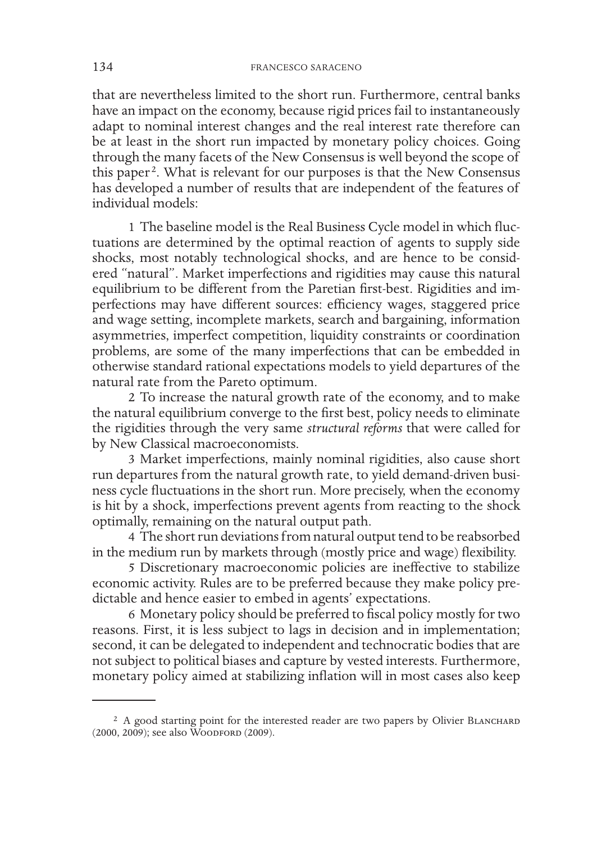that are nevertheless limited to the short run. Furthermore, central banks have an impact on the economy, because rigid prices fail to instantaneously adapt to nominal interest changes and the real interest rate therefore can be at least in the short run impacted by monetary policy choices. Going through the many facets of the New Consensus is well beyond the scope of this paper<sup>2</sup>. What is relevant for our purposes is that the New Consensus has developed a number of results that are independent of the features of individual models:

1 The baseline model is the Real Business Cycle model in which fluctuations are determined by the optimal reaction of agents to supply side shocks, most notably technological shocks, and are hence to be considered "natural". Market imperfections and rigidities may cause this natural equilibrium to be different from the Paretian first-best. Rigidities and imperfections may have different sources: efficiency wages, staggered price and wage setting, incomplete markets, search and bargaining, information asymmetries, imperfect competition, liquidity constraints or coordination problems, are some of the many imperfections that can be embedded in otherwise standard rational expectations models to yield departures of the natural rate from the Pareto optimum.

2 To increase the natural growth rate of the economy, and to make the natural equilibrium converge to the first best, policy needs to eliminate the rigidities through the very same *structural reforms* that were called for by New Classical macroeconomists.

3 Market imperfections, mainly nominal rigidities, also cause short run departures from the natural growth rate, to yield demand-driven business cycle fluctuations in the short run. More precisely, when the economy is hit by a shock, imperfections prevent agents from reacting to the shock optimally, remaining on the natural output path.

4 The short run deviations from natural output tend to be reabsorbed in the medium run by markets through (mostly price and wage) flexibility.

5 Discretionary macroeconomic policies are ineffective to stabilize economic activity. Rules are to be preferred because they make policy predictable and hence easier to embed in agents' expectations.

6 Monetary policy should be preferred to fiscal policy mostly for two reasons. First, it is less subject to lags in decision and in implementation; second, it can be delegated to independent and technocratic bodies that are not subject to political biases and capture by vested interests. Furthermore, monetary policy aimed at stabilizing inflation will in most cases also keep

<sup>&</sup>lt;sup>2</sup> A good starting point for the interested reader are two papers by Olivier BLANCHARD (2000, 2009); see also Woodford (2009).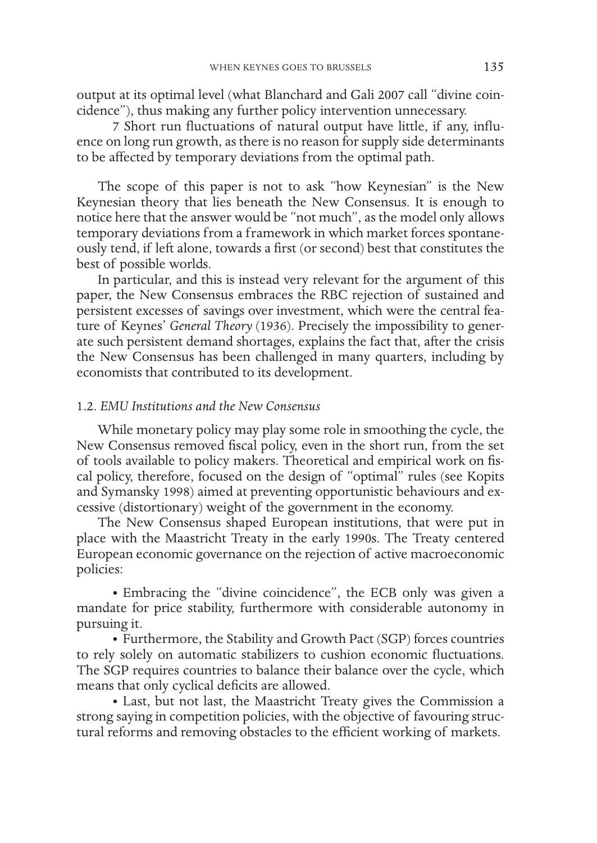output at its optimal level (what Blanchard and Gali 2007 call "divine coincidence"), thus making any further policy intervention unnecessary.

7 Short run fluctuations of natural output have little, if any, influence on long run growth, as there is no reason for supply side determinants to be affected by temporary deviations from the optimal path.

The scope of this paper is not to ask "how Keynesian" is the New Keynesian theory that lies beneath the New Consensus. It is enough to notice here that the answer would be "not much", as the model only allows temporary deviations from a framework in which market forces spontaneously tend, if left alone, towards a first (or second) best that constitutes the best of possible worlds.

In particular, and this is instead very relevant for the argument of this paper, the New Consensus embraces the RBC rejection of sustained and persistent excesses of savings over investment, which were the central feature of Keynes' *General Theory* (1936). Precisely the impossibility to generate such persistent demand shortages, explains the fact that, after the crisis the New Consensus has been challenged in many quarters, including by economists that contributed to its development.

# 1.2. *EMU Institutions and the New Consensus*

While monetary policy may play some role in smoothing the cycle, the New Consensus removed fiscal policy, even in the short run, from the set of tools available to policy makers. Theoretical and empirical work on fiscal policy, therefore, focused on the design of "optimal" rules (see Kopits and Symansky 1998) aimed at preventing opportunistic behaviours and excessive (distortionary) weight of the government in the economy.

The New Consensus shaped European institutions, that were put in place with the Maastricht Treaty in the early 1990s. The Treaty centered European economic governance on the rejection of active macroeconomic policies:

• Embracing the "divine coincidence", the ECB only was given a mandate for price stability, furthermore with considerable autonomy in pursuing it.

• Furthermore, the Stability and Growth Pact (SGP) forces countries to rely solely on automatic stabilizers to cushion economic fluctuations. The SGP requires countries to balance their balance over the cycle, which means that only cyclical deficits are allowed.

• Last, but not last, the Maastricht Treaty gives the Commission a strong saying in competition policies, with the objective of favouring structural reforms and removing obstacles to the efficient working of markets.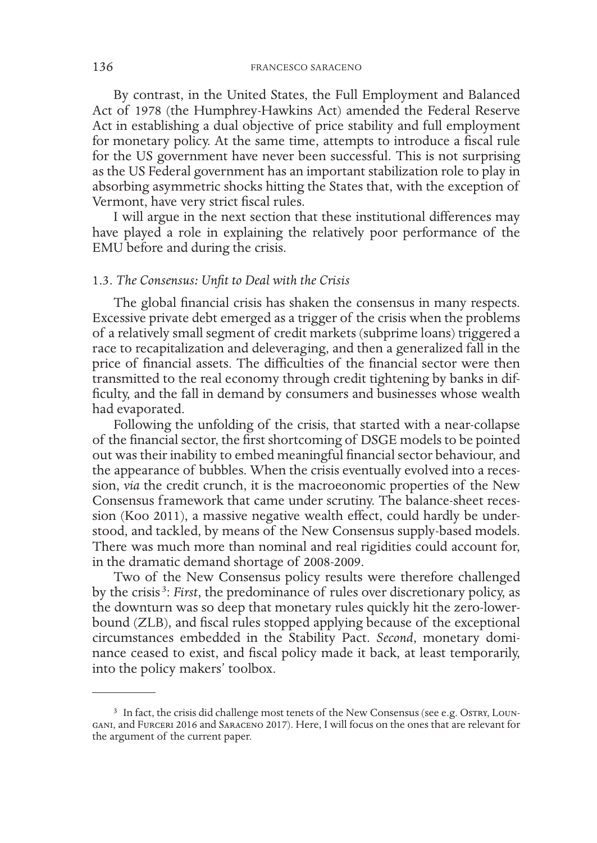By contrast, in the United States, the Full Employment and Balanced Act of 1978 (the Humphrey-Hawkins Act) amended the Federal Reserve Act in establishing a dual objective of price stability and full employment for monetary policy. At the same time, attempts to introduce a fiscal rule for the US government have never been successful. This is not surprising as the US Federal government has an important stabilization role to play in absorbing asymmetric shocks hitting the States that, with the exception of Vermont, have very strict fiscal rules.

I will argue in the next section that these institutional differences may have played a role in explaining the relatively poor performance of the EMU before and during the crisis.

### 1.3. *The Consensus: Unfit to Deal with the Crisis*

The global financial crisis has shaken the consensus in many respects. Excessive private debt emerged as a trigger of the crisis when the problems of a relatively small segment of credit markets (subprime loans) triggered a race to recapitalization and deleveraging, and then a generalized fall in the price of financial assets. The difficulties of the financial sector were then transmitted to the real economy through credit tightening by banks in difficulty, and the fall in demand by consumers and businesses whose wealth had evaporated.

Following the unfolding of the crisis, that started with a near-collapse of the financial sector, the first shortcoming of DSGE models to be pointed out was their inability to embed meaningful financial sector behaviour, and the appearance of bubbles. When the crisis eventually evolved into a recession, *via* the credit crunch, it is the macroeonomic properties of the New Consensus framework that came under scrutiny. The balance-sheet recession (Koo 2011), a massive negative wealth effect, could hardly be understood, and tackled, by means of the New Consensus supply-based models. There was much more than nominal and real rigidities could account for, in the dramatic demand shortage of 2008-2009.

Two of the New Consensus policy results were therefore challenged by the crisis <sup>3</sup> : *First*, the predominance of rules over discretionary policy, as the downturn was so deep that monetary rules quickly hit the zero-lowerbound (ZLB), and fiscal rules stopped applying because of the exceptional circumstances embedded in the Stability Pact. *Second*, monetary dominance ceased to exist, and fiscal policy made it back, at least temporarily, into the policy makers' toolbox.

<sup>&</sup>lt;sup>3</sup> In fact, the crisis did challenge most tenets of the New Consensus (see e.g. Ostrx, Loungani, and Furceri 2016 and Saraceno 2017). Here, I will focus on the ones that are relevant for the argument of the current paper.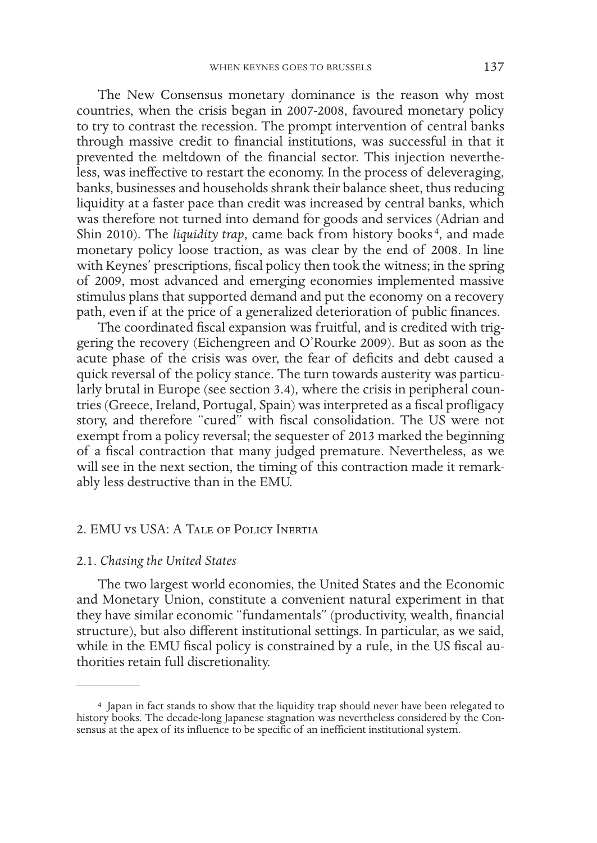The New Consensus monetary dominance is the reason why most countries, when the crisis began in 2007-2008, favoured monetary policy to try to contrast the recession. The prompt intervention of central banks through massive credit to financial institutions, was successful in that it prevented the meltdown of the financial sector. This injection nevertheless, was ineffective to restart the economy. In the process of deleveraging, banks, businesses and households shrank their balance sheet, thus reducing liquidity at a faster pace than credit was increased by central banks, which was therefore not turned into demand for goods and services (Adrian and Shin 2010). The *liquidity trap*, came back from history books<sup>4</sup>, and made monetary policy loose traction, as was clear by the end of 2008. In line with Keynes' prescriptions, fiscal policy then took the witness; in the spring of 2009, most advanced and emerging economies implemented massive stimulus plans that supported demand and put the economy on a recovery path, even if at the price of a generalized deterioration of public finances.

The coordinated fiscal expansion was fruitful, and is credited with triggering the recovery (Eichengreen and O'Rourke 2009). But as soon as the acute phase of the crisis was over, the fear of deficits and debt caused a quick reversal of the policy stance. The turn towards austerity was particularly brutal in Europe (see section 3.4), where the crisis in peripheral countries (Greece, Ireland, Portugal, Spain) was interpreted as a fiscal profligacy story, and therefore "cured" with fiscal consolidation. The US were not exempt from a policy reversal; the sequester of 2013 marked the beginning of a fiscal contraction that many judged premature. Nevertheless, as we will see in the next section, the timing of this contraction made it remarkably less destructive than in the EMU.

### 2. EMU vs USA: A Tale of Policy Inertia

#### 2.1. *Chasing the United States*

The two largest world economies, the United States and the Economic and Monetary Union, constitute a convenient natural experiment in that they have similar economic "fundamentals" (productivity, wealth, financial structure), but also different institutional settings. In particular, as we said, while in the EMU fiscal policy is constrained by a rule, in the US fiscal authorities retain full discretionality.

<sup>4</sup> Japan in fact stands to show that the liquidity trap should never have been relegated to history books. The decade-long Japanese stagnation was nevertheless considered by the Consensus at the apex of its influence to be specific of an inefficient institutional system.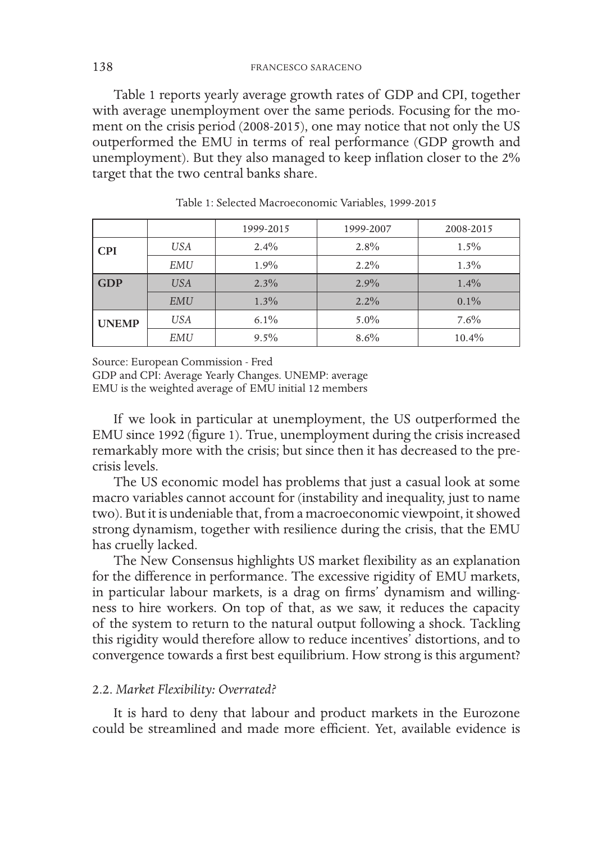Table 1 reports yearly average growth rates of GDP and CPI, together with average unemployment over the same periods. Focusing for the moment on the crisis period (2008-2015), one may notice that not only the US outperformed the EMU in terms of real performance (GDP growth and unemployment). But they also managed to keep inflation closer to the 2% target that the two central banks share.

|                          |            | 1999-2015 | 1999-2007 | 2008-2015 |  |
|--------------------------|------------|-----------|-----------|-----------|--|
| <b>CPI</b>               | <b>USA</b> | $2.4\%$   | $2.8\%$   | $1.5\%$   |  |
|                          | EMU        | 1.9%      | $2.2\%$   | $1.3\%$   |  |
| <b>GDP</b><br><b>USA</b> |            | $2.3\%$   | $2.9\%$   | $1.4\%$   |  |
|                          | <b>EMU</b> | $1.3\%$   | $2.2\%$   | $0.1\%$   |  |
| <b>UNEMP</b>             | <b>USA</b> | $6.1\%$   | $5.0\%$   | $7.6\%$   |  |
|                          | EMU        | $9.5\%$   | 8.6%      | 10.4%     |  |

Table 1: Selected Macroeconomic Variables, 1999-2015

Source: European Commission - Fred

GDP and CPI: Average Yearly Changes. UNEMP: average EMU is the weighted average of EMU initial 12 members

If we look in particular at unemployment, the US outperformed the EMU since 1992 (figure 1). True, unemployment during the crisis increased remarkably more with the crisis; but since then it has decreased to the precrisis levels.

The US economic model has problems that just a casual look at some macro variables cannot account for (instability and inequality, just to name two). But it is undeniable that, from a macroeconomic viewpoint, it showed strong dynamism, together with resilience during the crisis, that the EMU has cruelly lacked.

The New Consensus highlights US market flexibility as an explanation for the difference in performance. The excessive rigidity of EMU markets, in particular labour markets, is a drag on firms' dynamism and willingness to hire workers. On top of that, as we saw, it reduces the capacity of the system to return to the natural output following a shock. Tackling this rigidity would therefore allow to reduce incentives' distortions, and to convergence towards a first best equilibrium. How strong is this argument?

# 2.2. *Market Flexibility: Overrated?*

It is hard to deny that labour and product markets in the Eurozone could be streamlined and made more efficient. Yet, available evidence is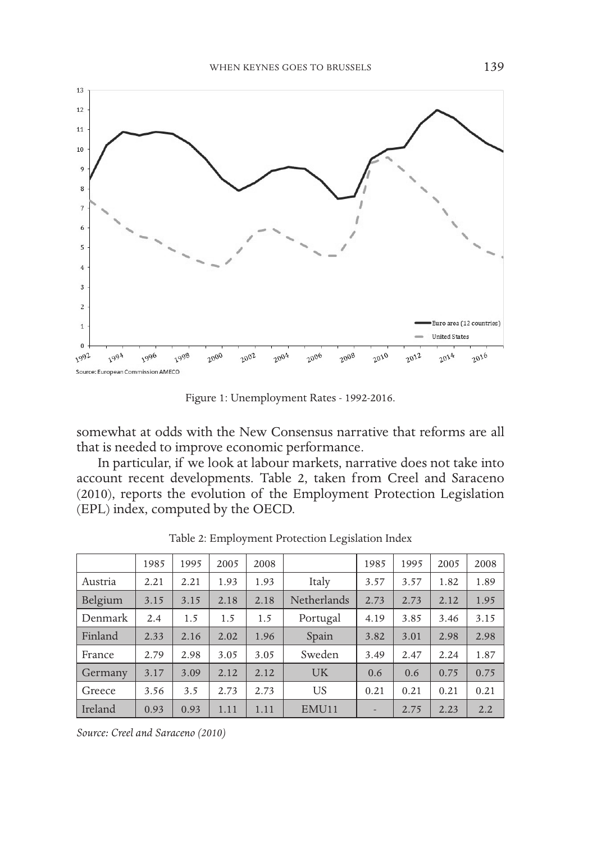

Figure 1: Unemployment Rates - 1992-2016.

somewhat at odds with the New Consensus narrative that reforms are all that is needed to improve economic performance.

In particular, if we look at labour markets, narrative does not take into account recent developments. Table 2, taken from Creel and Saraceno (2010), reports the evolution of the Employment Protection Legislation (EPL) index, computed by the OECD.

|         | 1985 | 1995 | 2005 | 2008 |             | 1985 | 1995 | 2005 | 2008 |
|---------|------|------|------|------|-------------|------|------|------|------|
|         |      |      |      |      |             |      |      |      |      |
| Austria | 2.21 | 2.21 | 1.93 | 1.93 | Italy       | 3.57 | 3.57 | 1.82 | 1.89 |
| Belgium | 3.15 | 3.15 | 2.18 | 2.18 | Netherlands | 2.73 | 2.73 | 2.12 | 1.95 |
| Denmark | 2.4  | 1.5  | 1.5  | 1.5  | Portugal    | 4.19 | 3.85 | 3.46 | 3.15 |
| Finland | 2.33 | 2.16 | 2.02 | 1.96 | Spain       | 3.82 | 3.01 | 2.98 | 2.98 |
| France  | 2.79 | 2.98 | 3.05 | 3.05 | Sweden      | 3.49 | 2.47 | 2.24 | 1.87 |
| Germany | 3.17 | 3.09 | 2.12 | 2.12 | <b>UK</b>   | 0.6  | 0.6  | 0.75 | 0.75 |
| Greece  | 3.56 | 3.5  | 2.73 | 2.73 | US          | 0.21 | 0.21 | 0.21 | 0.21 |
| Ireland | 0.93 | 0.93 | 1.11 | 1.11 | EMU11       | ۰    | 2.75 | 2.23 | 2.2  |

Table 2: Employment Protection Legislation Index

*Source: Creel and Saraceno (2010)*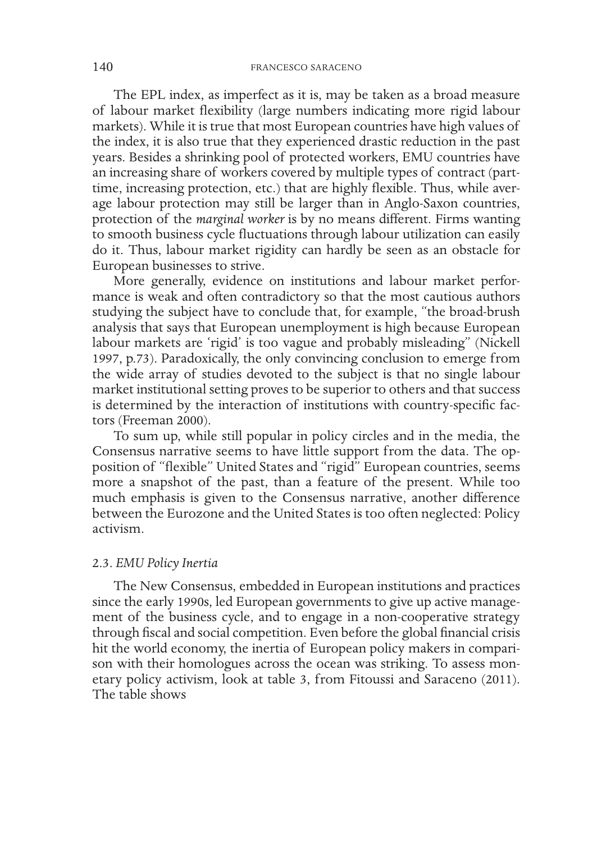The EPL index, as imperfect as it is, may be taken as a broad measure of labour market flexibility (large numbers indicating more rigid labour markets). While it is true that most European countries have high values of the index, it is also true that they experienced drastic reduction in the past years. Besides a shrinking pool of protected workers, EMU countries have an increasing share of workers covered by multiple types of contract (parttime, increasing protection, etc.) that are highly flexible. Thus, while average labour protection may still be larger than in Anglo-Saxon countries, protection of the *marginal worker* is by no means different. Firms wanting to smooth business cycle fluctuations through labour utilization can easily do it. Thus, labour market rigidity can hardly be seen as an obstacle for European businesses to strive.

More generally, evidence on institutions and labour market performance is weak and often contradictory so that the most cautious authors studying the subject have to conclude that, for example, "the broad-brush analysis that says that European unemployment is high because European labour markets are 'rigid' is too vague and probably misleading" (Nickell 1997, p.73). Paradoxically, the only convincing conclusion to emerge from the wide array of studies devoted to the subject is that no single labour market institutional setting proves to be superior to others and that success is determined by the interaction of institutions with country-specific factors (Freeman 2000).

To sum up, while still popular in policy circles and in the media, the Consensus narrative seems to have little support from the data. The opposition of "flexible" United States and "rigid" European countries, seems more a snapshot of the past, than a feature of the present. While too much emphasis is given to the Consensus narrative, another difference between the Eurozone and the United States is too often neglected: Policy activism.

### 2.3. *EMU Policy Inertia*

The New Consensus, embedded in European institutions and practices since the early 1990s, led European governments to give up active management of the business cycle, and to engage in a non-cooperative strategy through fiscal and social competition. Even before the global financial crisis hit the world economy, the inertia of European policy makers in comparison with their homologues across the ocean was striking. To assess monetary policy activism, look at table 3, from Fitoussi and Saraceno (2011). The table shows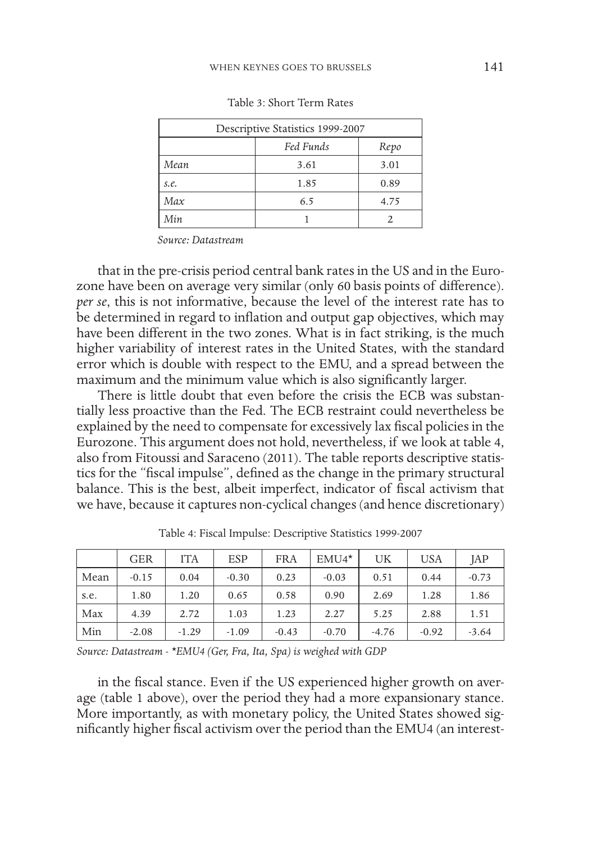| Descriptive Statistics 1999-2007 |      |      |  |  |  |  |
|----------------------------------|------|------|--|--|--|--|
| Fed Funds<br>Repo                |      |      |  |  |  |  |
| Mean                             | 3.61 | 3.01 |  |  |  |  |
| s.e.                             | 1.85 | 0.89 |  |  |  |  |
| Max                              | 6.5  | 4.75 |  |  |  |  |
| Min                              |      |      |  |  |  |  |

Table 3: Short Term Rates

*Source: Datastream*

that in the pre-crisis period central bank rates in the US and in the Eurozone have been on average very similar (only 60 basis points of difference). *per se*, this is not informative, because the level of the interest rate has to be determined in regard to inflation and output gap objectives, which may have been different in the two zones. What is in fact striking, is the much higher variability of interest rates in the United States, with the standard error which is double with respect to the EMU, and a spread between the maximum and the minimum value which is also significantly larger.

There is little doubt that even before the crisis the ECB was substantially less proactive than the Fed. The ECB restraint could nevertheless be explained by the need to compensate for excessively lax fiscal policies in the Eurozone. This argument does not hold, nevertheless, if we look at table 4, also from Fitoussi and Saraceno (2011). The table reports descriptive statistics for the "fiscal impulse", defined as the change in the primary structural balance. This is the best, albeit imperfect, indicator of fiscal activism that we have, because it captures non-cyclical changes (and hence discretionary)

|      | <b>GER</b> | <b>ITA</b> | <b>ESP</b> | <b>FRA</b> | $EMU4*$ | UK      | USA     | JAP     |
|------|------------|------------|------------|------------|---------|---------|---------|---------|
| Mean | $-0.15$    | 0.04       | $-0.30$    | 0.23       | $-0.03$ | 0.51    | 0.44    | $-0.73$ |
| s.e. | 1.80       | 1.20       | 0.65       | 0.58       | 0.90    | 2.69    | 1.28    | 1.86    |
| Max  | 4.39       | 2.72       | 1.03       | 1.23       | 2.27    | 5.25    | 2.88    | 1.51    |
| Min  | $-2.08$    | $-1.29$    | $-1.09$    | $-0.43$    | $-0.70$ | $-4.76$ | $-0.92$ | $-3.64$ |

Table 4: Fiscal Impulse: Descriptive Statistics 1999-2007

*Source: Datastream - \*EMU4 (Ger, Fra, Ita, Spa) is weighed with GDP*

in the fiscal stance. Even if the US experienced higher growth on average (table 1 above), over the period they had a more expansionary stance. More importantly, as with monetary policy, the United States showed significantly higher fiscal activism over the period than the EMU4 (an interest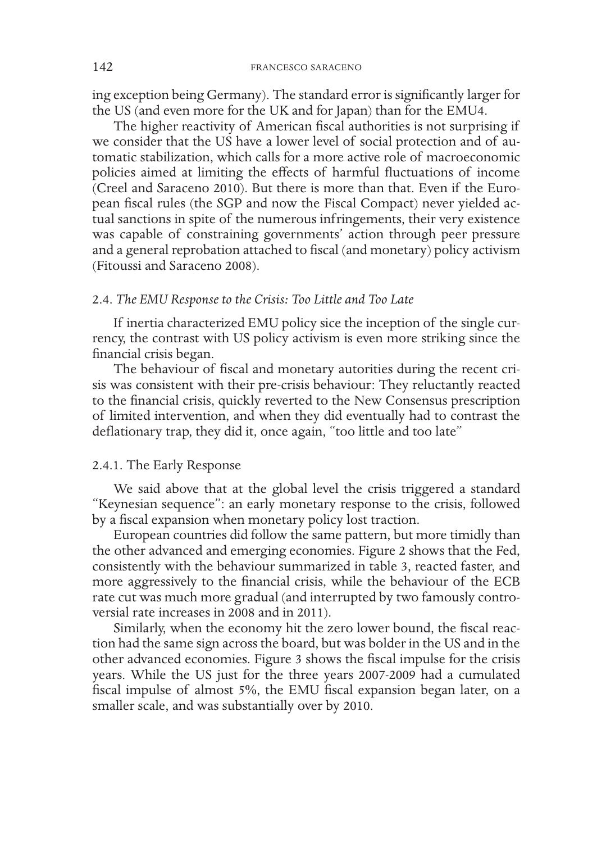ing exception being Germany). The standard error is significantly larger for the US (and even more for the UK and for Japan) than for the EMU4.

The higher reactivity of American fiscal authorities is not surprising if we consider that the US have a lower level of social protection and of automatic stabilization, which calls for a more active role of macroeconomic policies aimed at limiting the effects of harmful fluctuations of income (Creel and Saraceno 2010). But there is more than that. Even if the European fiscal rules (the SGP and now the Fiscal Compact) never yielded actual sanctions in spite of the numerous infringements, their very existence was capable of constraining governments' action through peer pressure and a general reprobation attached to fiscal (and monetary) policy activism (Fitoussi and Saraceno 2008).

# 2.4. *The EMU Response to the Crisis: Too Little and Too Late*

If inertia characterized EMU policy sice the inception of the single currency, the contrast with US policy activism is even more striking since the financial crisis began.

The behaviour of fiscal and monetary autorities during the recent crisis was consistent with their pre-crisis behaviour: They reluctantly reacted to the financial crisis, quickly reverted to the New Consensus prescription of limited intervention, and when they did eventually had to contrast the deflationary trap, they did it, once again, "too little and too late"

# 2.4.1. The Early Response

We said above that at the global level the crisis triggered a standard "Keynesian sequence": an early monetary response to the crisis, followed by a fiscal expansion when monetary policy lost traction.

European countries did follow the same pattern, but more timidly than the other advanced and emerging economies. Figure 2 shows that the Fed, consistently with the behaviour summarized in table 3, reacted faster, and more aggressively to the financial crisis, while the behaviour of the ECB rate cut was much more gradual (and interrupted by two famously controversial rate increases in 2008 and in 2011).

Similarly, when the economy hit the zero lower bound, the fiscal reaction had the same sign across the board, but was bolder in the US and in the other advanced economies. Figure 3 shows the fiscal impulse for the crisis years. While the US just for the three years 2007-2009 had a cumulated fiscal impulse of almost 5%, the EMU fiscal expansion began later, on a smaller scale, and was substantially over by 2010.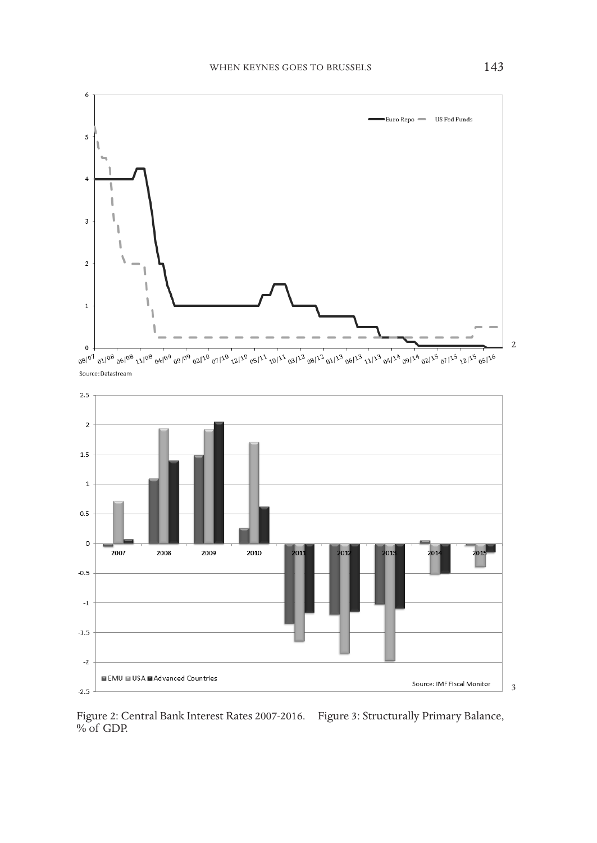

Source: Datastream



Figure 2: Central Bank Interest Rates 2007-2016. Figure 3: Structurally Primary Balance, % of GDP.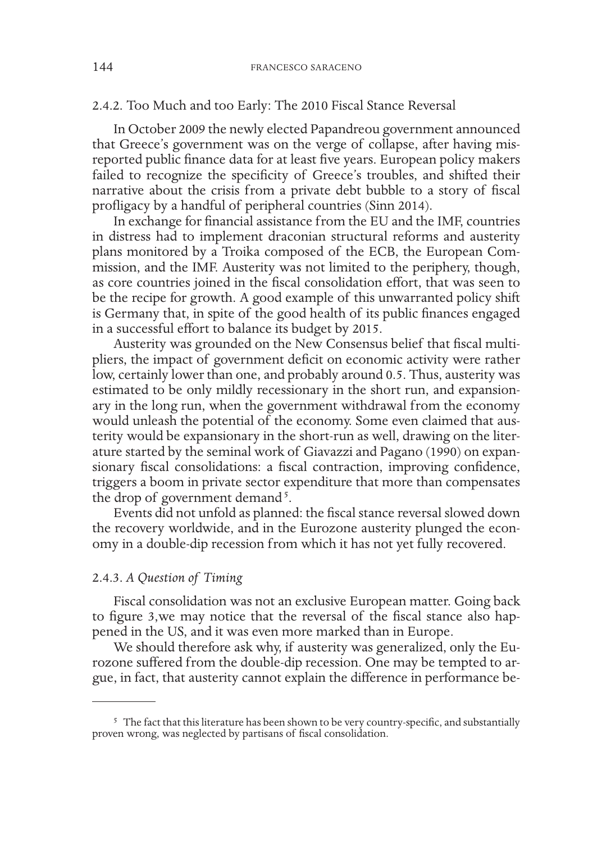# 2.4.2. Too Much and too Early: The 2010 Fiscal Stance Reversal

In October 2009 the newly elected Papandreou government announced that Greece's government was on the verge of collapse, after having misreported public finance data for at least five years. European policy makers failed to recognize the specificity of Greece's troubles, and shifted their narrative about the crisis from a private debt bubble to a story of fiscal profligacy by a handful of peripheral countries (Sinn 2014).

In exchange for financial assistance from the EU and the IMF, countries in distress had to implement draconian structural reforms and austerity plans monitored by a Troika composed of the ECB, the European Commission, and the IMF. Austerity was not limited to the periphery, though, as core countries joined in the fiscal consolidation effort, that was seen to be the recipe for growth. A good example of this unwarranted policy shift is Germany that, in spite of the good health of its public finances engaged in a successful effort to balance its budget by 2015.

Austerity was grounded on the New Consensus belief that fiscal multipliers, the impact of government deficit on economic activity were rather low, certainly lower than one, and probably around 0.5. Thus, austerity was estimated to be only mildly recessionary in the short run, and expansionary in the long run, when the government withdrawal from the economy would unleash the potential of the economy. Some even claimed that austerity would be expansionary in the short-run as well, drawing on the literature started by the seminal work of Giavazzi and Pagano (1990) on expansionary fiscal consolidations: a fiscal contraction, improving confidence, triggers a boom in private sector expenditure that more than compensates the drop of government demand<sup>5</sup>.

Events did not unfold as planned: the fiscal stance reversal slowed down the recovery worldwide, and in the Eurozone austerity plunged the economy in a double-dip recession from which it has not yet fully recovered.

# 2.4.3. *A Question of Timing*

Fiscal consolidation was not an exclusive European matter. Going back to figure 3,we may notice that the reversal of the fiscal stance also happened in the US, and it was even more marked than in Europe.

We should therefore ask why, if austerity was generalized, only the Eurozone suffered from the double-dip recession. One may be tempted to argue, in fact, that austerity cannot explain the difference in performance be-

<sup>&</sup>lt;sup>5</sup> The fact that this literature has been shown to be very country-specific, and substantially proven wrong, was neglected by partisans of fiscal consolidation.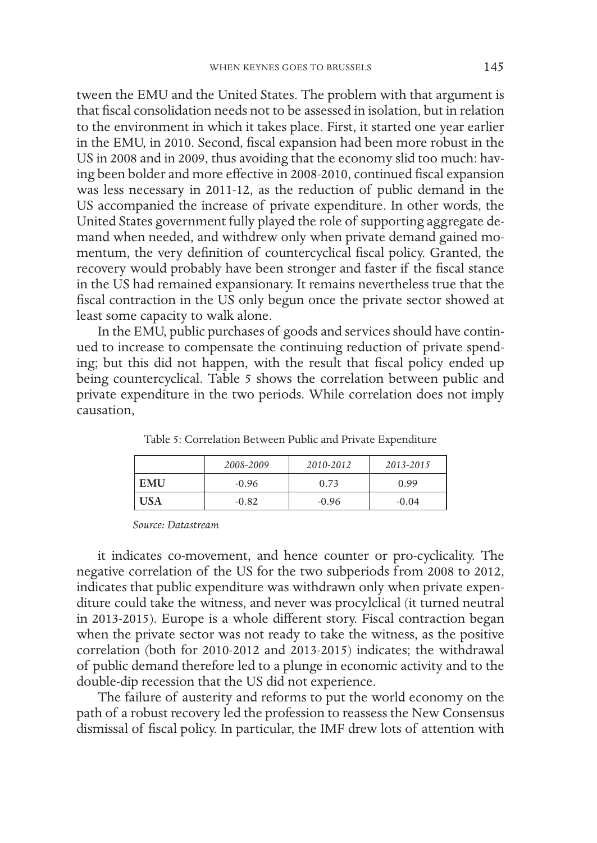tween the EMU and the United States. The problem with that argument is that fiscal consolidation needs not to be assessed in isolation, but in relation to the environment in which it takes place. First, it started one year earlier in the EMU, in 2010. Second, fiscal expansion had been more robust in the US in 2008 and in 2009, thus avoiding that the economy slid too much: having been bolder and more effective in 2008-2010, continued fiscal expansion was less necessary in 2011-12, as the reduction of public demand in the US accompanied the increase of private expenditure. In other words, the United States government fully played the role of supporting aggregate demand when needed, and withdrew only when private demand gained momentum, the very definition of countercyclical fiscal policy. Granted, the recovery would probably have been stronger and faster if the fiscal stance in the US had remained expansionary. It remains nevertheless true that the fiscal contraction in the US only begun once the private sector showed at least some capacity to walk alone.

In the EMU, public purchases of goods and services should have continued to increase to compensate the continuing reduction of private spending; but this did not happen, with the result that fiscal policy ended up being countercyclical. Table 5 shows the correlation between public and private expenditure in the two periods. While correlation does not imply causation,

|            | 2008-2009 | 2010-2012 | 2013-2015 |
|------------|-----------|-----------|-----------|
| <b>EMU</b> | $-0.96$   | 0.73      | 0.99      |
| <b>USA</b> | $-0.82$   | $-0.96$   | $-0.04$   |

Table 5: Correlation Between Public and Private Expenditure

*Source: Datastream*

it indicates co-movement, and hence counter or pro-cyclicality. The negative correlation of the US for the two subperiods from 2008 to 2012, indicates that public expenditure was withdrawn only when private expenditure could take the witness, and never was procylclical (it turned neutral in 2013-2015). Europe is a whole different story. Fiscal contraction began when the private sector was not ready to take the witness, as the positive correlation (both for 2010-2012 and 2013-2015) indicates; the withdrawal of public demand therefore led to a plunge in economic activity and to the double-dip recession that the US did not experience.

The failure of austerity and reforms to put the world economy on the path of a robust recovery led the profession to reassess the New Consensus dismissal of fiscal policy. In particular, the IMF drew lots of attention with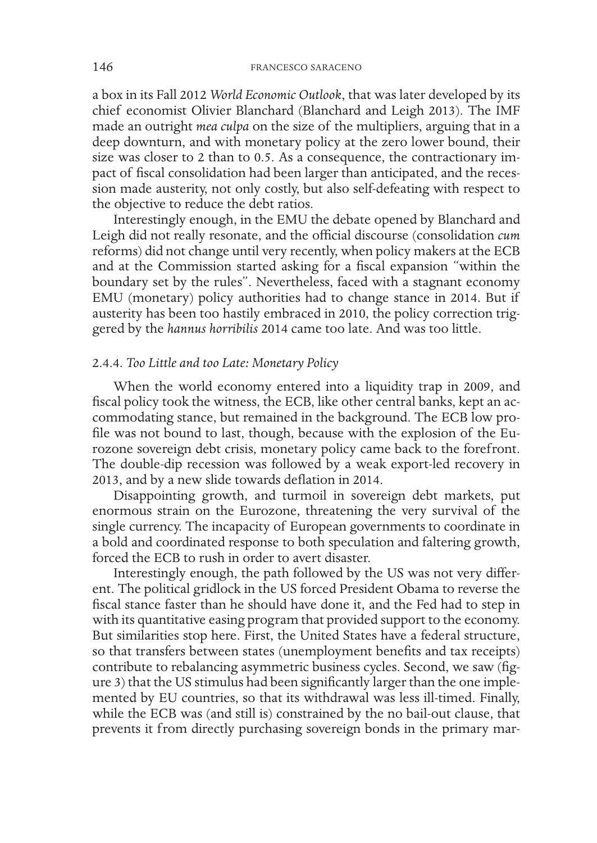a box in its Fall 2012 *World Economic Outlook*, that was later developed by its chief economist Olivier Blanchard (Blanchard and Leigh 2013). The IMF made an outright *mea culpa* on the size of the multipliers, arguing that in a deep downturn, and with monetary policy at the zero lower bound, their size was closer to 2 than to 0.5. As a consequence, the contractionary impact of fiscal consolidation had been larger than anticipated, and the recession made austerity, not only costly, but also self-defeating with respect to the objective to reduce the debt ratios.

Interestingly enough, in the EMU the debate opened by Blanchard and Leigh did not really resonate, and the official discourse (consolidation *cum*  reforms) did not change until very recently, when policy makers at the ECB and at the Commission started asking for a fiscal expansion "within the boundary set by the rules". Nevertheless, faced with a stagnant economy EMU (monetary) policy authorities had to change stance in 2014. But if austerity has been too hastily embraced in 2010, the policy correction triggered by the *hannus horribilis* 2014 came too late. And was too little.

# 2.4.4. *Too Little and too Late: Monetary Policy*

When the world economy entered into a liquidity trap in 2009, and fiscal policy took the witness, the ECB, like other central banks, kept an accommodating stance, but remained in the background. The ECB low profile was not bound to last, though, because with the explosion of the Eurozone sovereign debt crisis, monetary policy came back to the forefront. The double-dip recession was followed by a weak export-led recovery in 2013, and by a new slide towards deflation in 2014.

Disappointing growth, and turmoil in sovereign debt markets, put enormous strain on the Eurozone, threatening the very survival of the single currency. The incapacity of European governments to coordinate in a bold and coordinated response to both speculation and faltering growth, forced the ECB to rush in order to avert disaster.

Interestingly enough, the path followed by the US was not very different. The political gridlock in the US forced President Obama to reverse the fiscal stance faster than he should have done it, and the Fed had to step in with its quantitative easing program that provided support to the economy. But similarities stop here. First, the United States have a federal structure, so that transfers between states (unemployment benefits and tax receipts) contribute to rebalancing asymmetric business cycles. Second, we saw (figure 3) that the US stimulus had been significantly larger than the one implemented by EU countries, so that its withdrawal was less ill-timed. Finally, while the ECB was (and still is) constrained by the no bail-out clause, that prevents it from directly purchasing sovereign bonds in the primary mar-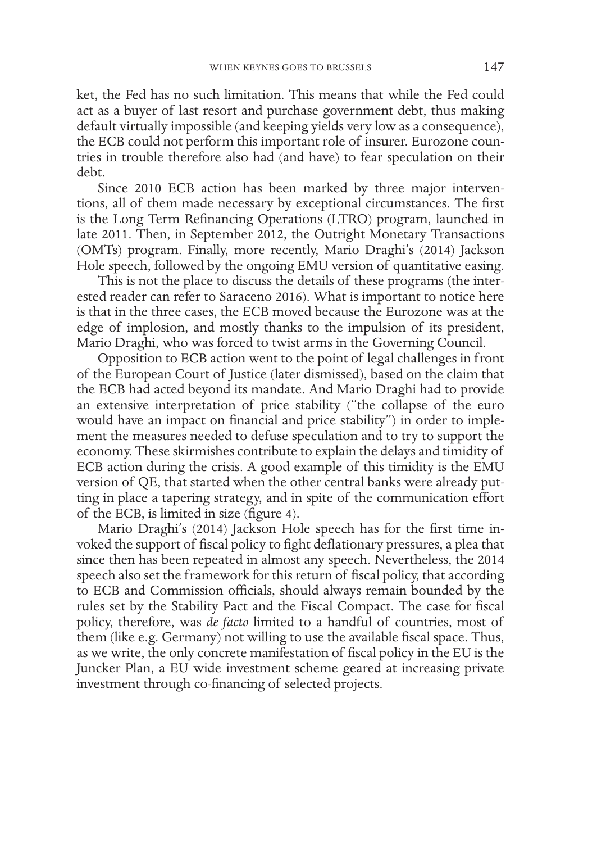ket, the Fed has no such limitation. This means that while the Fed could act as a buyer of last resort and purchase government debt, thus making default virtually impossible (and keeping yields very low as a consequence), the ECB could not perform this important role of insurer. Eurozone countries in trouble therefore also had (and have) to fear speculation on their debt.

Since 2010 ECB action has been marked by three major interventions, all of them made necessary by exceptional circumstances. The first is the Long Term Refinancing Operations (LTRO) program, launched in late 2011. Then, in September 2012, the Outright Monetary Transactions (OMTs) program. Finally, more recently, Mario Draghi's (2014) Jackson Hole speech, followed by the ongoing EMU version of quantitative easing.

This is not the place to discuss the details of these programs (the interested reader can refer to Saraceno 2016). What is important to notice here is that in the three cases, the ECB moved because the Eurozone was at the edge of implosion, and mostly thanks to the impulsion of its president, Mario Draghi, who was forced to twist arms in the Governing Council.

Opposition to ECB action went to the point of legal challenges in front of the European Court of Justice (later dismissed), based on the claim that the ECB had acted beyond its mandate. And Mario Draghi had to provide an extensive interpretation of price stability ("the collapse of the euro would have an impact on financial and price stability") in order to implement the measures needed to defuse speculation and to try to support the economy. These skirmishes contribute to explain the delays and timidity of ECB action during the crisis. A good example of this timidity is the EMU version of QE, that started when the other central banks were already putting in place a tapering strategy, and in spite of the communication effort of the ECB, is limited in size (figure 4).

Mario Draghi's (2014) Jackson Hole speech has for the first time invoked the support of fiscal policy to fight deflationary pressures, a plea that since then has been repeated in almost any speech. Nevertheless, the 2014 speech also set the framework for this return of fiscal policy, that according to ECB and Commission officials, should always remain bounded by the rules set by the Stability Pact and the Fiscal Compact. The case for fiscal policy, therefore, was *de facto* limited to a handful of countries, most of them (like e.g. Germany) not willing to use the available fiscal space. Thus, as we write, the only concrete manifestation of fiscal policy in the EU is the Juncker Plan, a EU wide investment scheme geared at increasing private investment through co-financing of selected projects.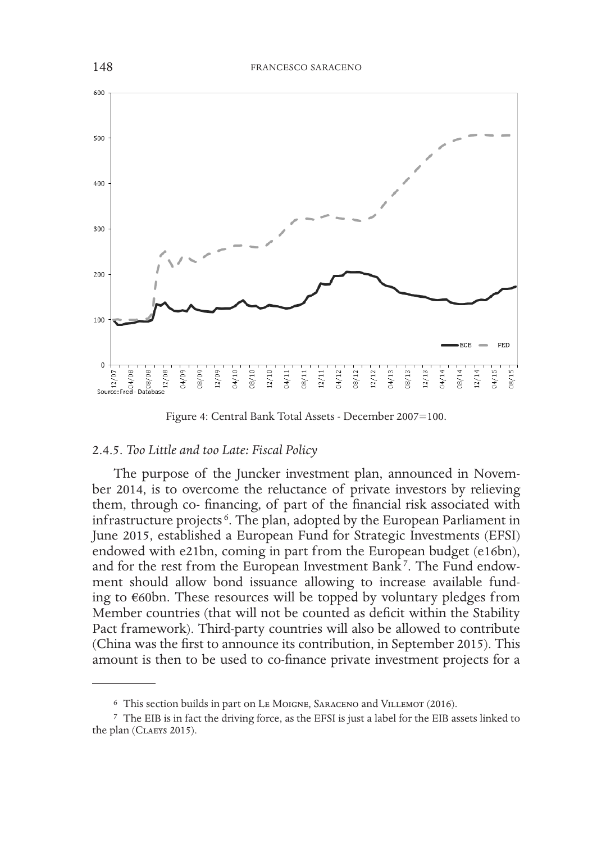

Figure 4: Central Bank Total Assets - December 2007=100.

### 2.4.5. *Too Little and too Late: Fiscal Policy*

The purpose of the Juncker investment plan, announced in November 2014, is to overcome the reluctance of private investors by relieving them, through co- financing, of part of the financial risk associated with infrastructure projects <sup>6</sup> . The plan, adopted by the European Parliament in June 2015, established a European Fund for Strategic Investments (EFSI) endowed with e21bn, coming in part from the European budget (e16bn), and for the rest from the European Investment Bank<sup>7</sup>. The Fund endowment should allow bond issuance allowing to increase available funding to €60bn. These resources will be topped by voluntary pledges from Member countries (that will not be counted as deficit within the Stability Pact framework). Third-party countries will also be allowed to contribute (China was the first to announce its contribution, in September 2015). This amount is then to be used to co-finance private investment projects for a

<sup>6</sup> This section builds in part on Le Moigne, Saraceno and Villemot (2016).

<sup>7</sup> The EIB is in fact the driving force, as the EFSI is just a label for the EIB assets linked to the plan (CLAEYS 2015).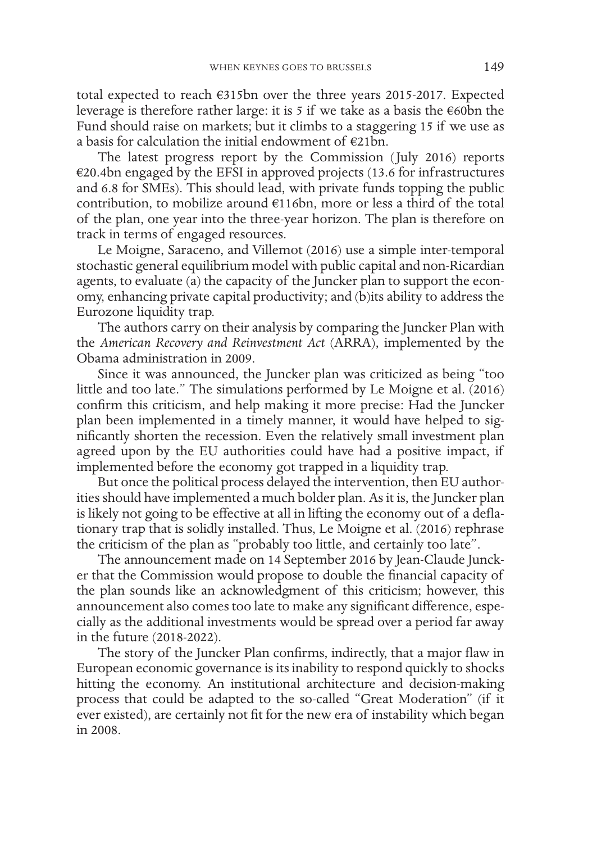total expected to reach €315bn over the three years 2015-2017. Expected leverage is therefore rather large: it is 5 if we take as a basis the €60bn the Fund should raise on markets; but it climbs to a staggering 15 if we use as a basis for calculation the initial endowment of €21bn.

The latest progress report by the Commission (July 2016) reports €20.4bn engaged by the EFSI in approved projects (13.6 for infrastructures and 6.8 for SMEs). This should lead, with private funds topping the public contribution, to mobilize around €116bn, more or less a third of the total of the plan, one year into the three-year horizon. The plan is therefore on track in terms of engaged resources.

Le Moigne, Saraceno, and Villemot (2016) use a simple inter-temporal stochastic general equilibrium model with public capital and non-Ricardian agents, to evaluate (a) the capacity of the Juncker plan to support the economy, enhancing private capital productivity; and (b)its ability to address the Eurozone liquidity trap.

The authors carry on their analysis by comparing the Juncker Plan with the *American Recovery and Reinvestment Act* (ARRA), implemented by the Obama administration in 2009.

Since it was announced, the Juncker plan was criticized as being "too little and too late." The simulations performed by Le Moigne et al. (2016) confirm this criticism, and help making it more precise: Had the Juncker plan been implemented in a timely manner, it would have helped to significantly shorten the recession. Even the relatively small investment plan agreed upon by the EU authorities could have had a positive impact, if implemented before the economy got trapped in a liquidity trap.

But once the political process delayed the intervention, then EU authorities should have implemented a much bolder plan. As it is, the Juncker plan is likely not going to be effective at all in lifting the economy out of a deflationary trap that is solidly installed. Thus, Le Moigne et al. (2016) rephrase the criticism of the plan as "probably too little, and certainly too late".

The announcement made on 14 September 2016 by Jean-Claude Juncker that the Commission would propose to double the financial capacity of the plan sounds like an acknowledgment of this criticism; however, this announcement also comes too late to make any significant difference, especially as the additional investments would be spread over a period far away in the future (2018-2022).

The story of the Juncker Plan confirms, indirectly, that a major flaw in European economic governance is its inability to respond quickly to shocks hitting the economy. An institutional architecture and decision-making process that could be adapted to the so-called "Great Moderation" (if it ever existed), are certainly not fit for the new era of instability which began in 2008.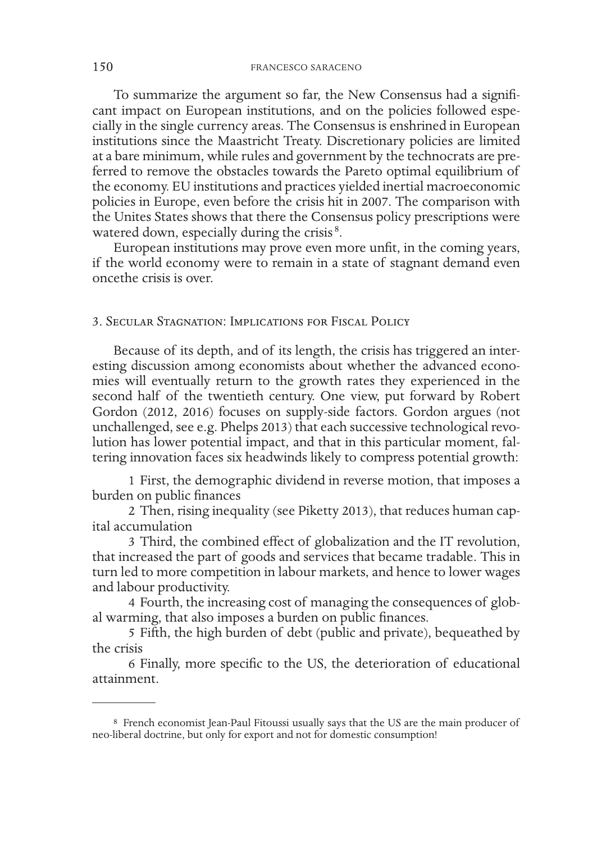To summarize the argument so far, the New Consensus had a significant impact on European institutions, and on the policies followed especially in the single currency areas. The Consensus is enshrined in European institutions since the Maastricht Treaty. Discretionary policies are limited at a bare minimum, while rules and government by the technocrats are preferred to remove the obstacles towards the Pareto optimal equilibrium of the economy. EU institutions and practices yielded inertial macroeconomic policies in Europe, even before the crisis hit in 2007. The comparison with the Unites States shows that there the Consensus policy prescriptions were watered down, especially during the crisis<sup>8</sup>.

European institutions may prove even more unfit, in the coming years, if the world economy were to remain in a state of stagnant demand even oncethe crisis is over.

# 3. Secular Stagnation: Implications for Fiscal Policy

Because of its depth, and of its length, the crisis has triggered an interesting discussion among economists about whether the advanced economies will eventually return to the growth rates they experienced in the second half of the twentieth century. One view, put forward by Robert Gordon (2012, 2016) focuses on supply-side factors. Gordon argues (not unchallenged, see e.g. Phelps 2013) that each successive technological revolution has lower potential impact, and that in this particular moment, faltering innovation faces six headwinds likely to compress potential growth:

1 First, the demographic dividend in reverse motion, that imposes a burden on public finances

2 Then, rising inequality (see Piketty 2013), that reduces human capital accumulation

3 Third, the combined effect of globalization and the IT revolution, that increased the part of goods and services that became tradable. This in turn led to more competition in labour markets, and hence to lower wages and labour productivity.

4 Fourth, the increasing cost of managing the consequences of global warming, that also imposes a burden on public finances.

5 Fifth, the high burden of debt (public and private), bequeathed by the crisis

6 Finally, more specific to the US, the deterioration of educational attainment.

<sup>8</sup> French economist Jean-Paul Fitoussi usually says that the US are the main producer of neo-liberal doctrine, but only for export and not for domestic consumption!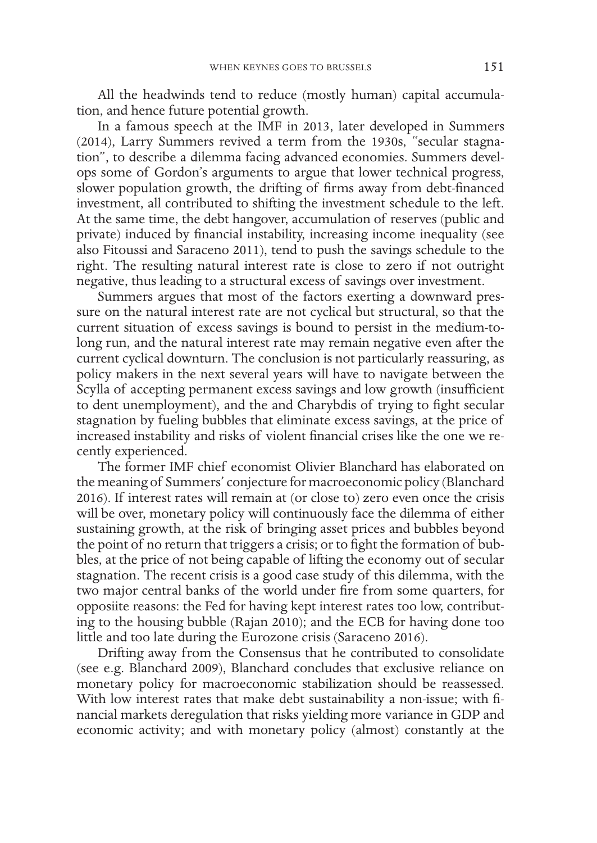All the headwinds tend to reduce (mostly human) capital accumulation, and hence future potential growth.

In a famous speech at the IMF in 2013, later developed in Summers (2014), Larry Summers revived a term from the 1930s, "secular stagnation", to describe a dilemma facing advanced economies. Summers develops some of Gordon's arguments to argue that lower technical progress, slower population growth, the drifting of firms away from debt-financed investment, all contributed to shifting the investment schedule to the left. At the same time, the debt hangover, accumulation of reserves (public and private) induced by financial instability, increasing income inequality (see also Fitoussi and Saraceno 2011), tend to push the savings schedule to the right. The resulting natural interest rate is close to zero if not outright negative, thus leading to a structural excess of savings over investment.

Summers argues that most of the factors exerting a downward pressure on the natural interest rate are not cyclical but structural, so that the current situation of excess savings is bound to persist in the medium-tolong run, and the natural interest rate may remain negative even after the current cyclical downturn. The conclusion is not particularly reassuring, as policy makers in the next several years will have to navigate between the Scylla of accepting permanent excess savings and low growth (insufficient to dent unemployment), and the and Charybdis of trying to fight secular stagnation by fueling bubbles that eliminate excess savings, at the price of increased instability and risks of violent financial crises like the one we recently experienced.

The former IMF chief economist Olivier Blanchard has elaborated on the meaning of Summers' conjecture for macroeconomic policy (Blanchard 2016). If interest rates will remain at (or close to) zero even once the crisis will be over, monetary policy will continuously face the dilemma of either sustaining growth, at the risk of bringing asset prices and bubbles beyond the point of no return that triggers a crisis; or to fight the formation of bubbles, at the price of not being capable of lifting the economy out of secular stagnation. The recent crisis is a good case study of this dilemma, with the two major central banks of the world under fire from some quarters, for opposiite reasons: the Fed for having kept interest rates too low, contributing to the housing bubble (Rajan 2010); and the ECB for having done too little and too late during the Eurozone crisis (Saraceno 2016).

Drifting away from the Consensus that he contributed to consolidate (see e.g. Blanchard 2009), Blanchard concludes that exclusive reliance on monetary policy for macroeconomic stabilization should be reassessed. With low interest rates that make debt sustainability a non-issue; with financial markets deregulation that risks yielding more variance in GDP and economic activity; and with monetary policy (almost) constantly at the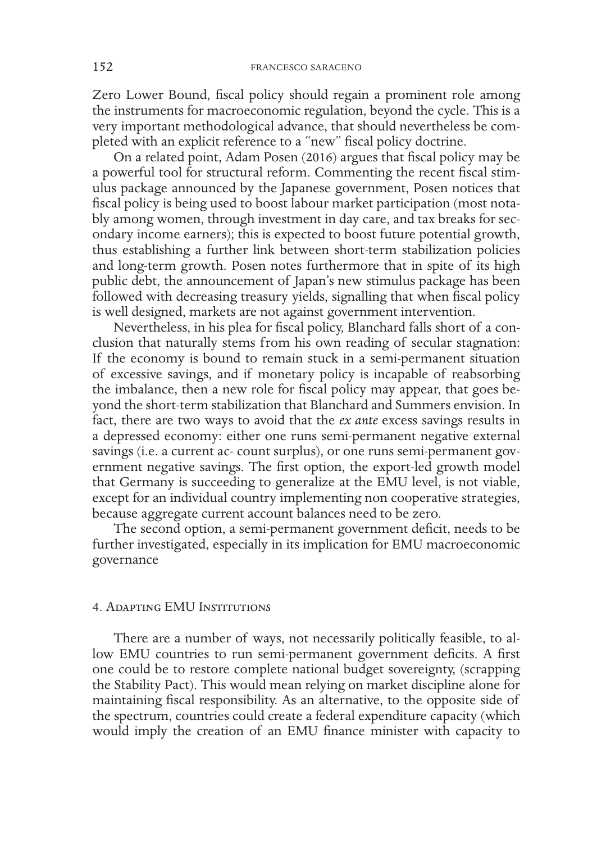Zero Lower Bound, fiscal policy should regain a prominent role among the instruments for macroeconomic regulation, beyond the cycle. This is a very important methodological advance, that should nevertheless be completed with an explicit reference to a "new" fiscal policy doctrine.

On a related point, Adam Posen (2016) argues that fiscal policy may be a powerful tool for structural reform. Commenting the recent fiscal stimulus package announced by the Japanese government, Posen notices that fiscal policy is being used to boost labour market participation (most notably among women, through investment in day care, and tax breaks for secondary income earners); this is expected to boost future potential growth, thus establishing a further link between short-term stabilization policies and long-term growth. Posen notes furthermore that in spite of its high public debt, the announcement of Japan's new stimulus package has been followed with decreasing treasury yields, signalling that when fiscal policy is well designed, markets are not against government intervention.

Nevertheless, in his plea for fiscal policy, Blanchard falls short of a conclusion that naturally stems from his own reading of secular stagnation: If the economy is bound to remain stuck in a semi-permanent situation of excessive savings, and if monetary policy is incapable of reabsorbing the imbalance, then a new role for fiscal policy may appear, that goes beyond the short-term stabilization that Blanchard and Summers envision. In fact, there are two ways to avoid that the *ex ante* excess savings results in a depressed economy: either one runs semi-permanent negative external savings (i.e. a current ac- count surplus), or one runs semi-permanent government negative savings. The first option, the export-led growth model that Germany is succeeding to generalize at the EMU level, is not viable, except for an individual country implementing non cooperative strategies, because aggregate current account balances need to be zero.

The second option, a semi-permanent government deficit, needs to be further investigated, especially in its implication for EMU macroeconomic governance

### 4. Adapting EMU Institutions

There are a number of ways, not necessarily politically feasible, to allow EMU countries to run semi-permanent government deficits. A first one could be to restore complete national budget sovereignty, (scrapping the Stability Pact). This would mean relying on market discipline alone for maintaining fiscal responsibility. As an alternative, to the opposite side of the spectrum, countries could create a federal expenditure capacity (which would imply the creation of an EMU finance minister with capacity to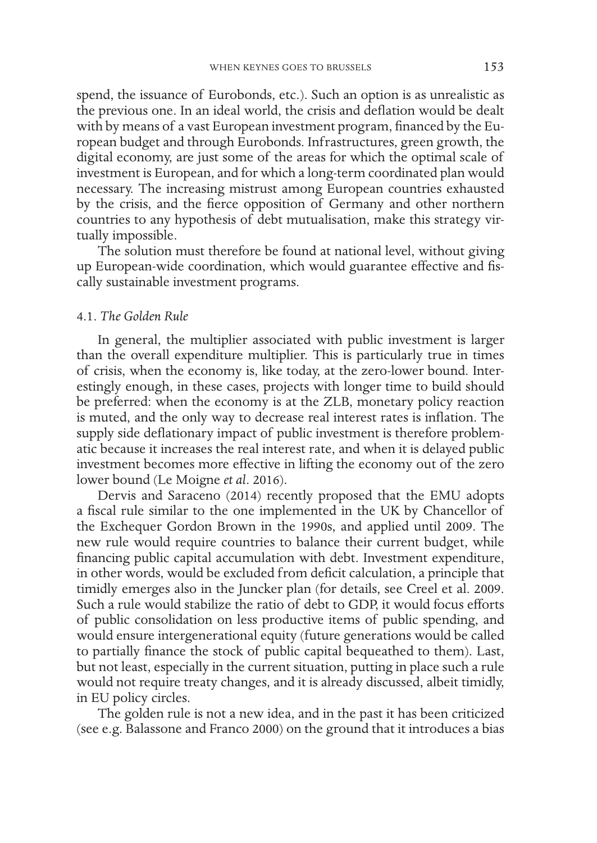spend, the issuance of Eurobonds, etc.). Such an option is as unrealistic as the previous one. In an ideal world, the crisis and deflation would be dealt with by means of a vast European investment program, financed by the European budget and through Eurobonds. Infrastructures, green growth, the digital economy, are just some of the areas for which the optimal scale of investment is European, and for which a long-term coordinated plan would necessary. The increasing mistrust among European countries exhausted by the crisis, and the fierce opposition of Germany and other northern countries to any hypothesis of debt mutualisation, make this strategy virtually impossible.

The solution must therefore be found at national level, without giving up European-wide coordination, which would guarantee effective and fiscally sustainable investment programs.

### 4.1. *The Golden Rule*

In general, the multiplier associated with public investment is larger than the overall expenditure multiplier. This is particularly true in times of crisis, when the economy is, like today, at the zero-lower bound. Interestingly enough, in these cases, projects with longer time to build should be preferred: when the economy is at the ZLB, monetary policy reaction is muted, and the only way to decrease real interest rates is inflation. The supply side deflationary impact of public investment is therefore problematic because it increases the real interest rate, and when it is delayed public investment becomes more effective in lifting the economy out of the zero lower bound (Le Moigne *et al*. 2016).

Dervis and Saraceno (2014) recently proposed that the EMU adopts a fiscal rule similar to the one implemented in the UK by Chancellor of the Exchequer Gordon Brown in the 1990s, and applied until 2009. The new rule would require countries to balance their current budget, while financing public capital accumulation with debt. Investment expenditure, in other words, would be excluded from deficit calculation, a principle that timidly emerges also in the Juncker plan (for details, see Creel et al. 2009. Such a rule would stabilize the ratio of debt to GDP, it would focus efforts of public consolidation on less productive items of public spending, and would ensure intergenerational equity (future generations would be called to partially finance the stock of public capital bequeathed to them). Last, but not least, especially in the current situation, putting in place such a rule would not require treaty changes, and it is already discussed, albeit timidly, in EU policy circles.

The golden rule is not a new idea, and in the past it has been criticized (see e.g. Balassone and Franco 2000) on the ground that it introduces a bias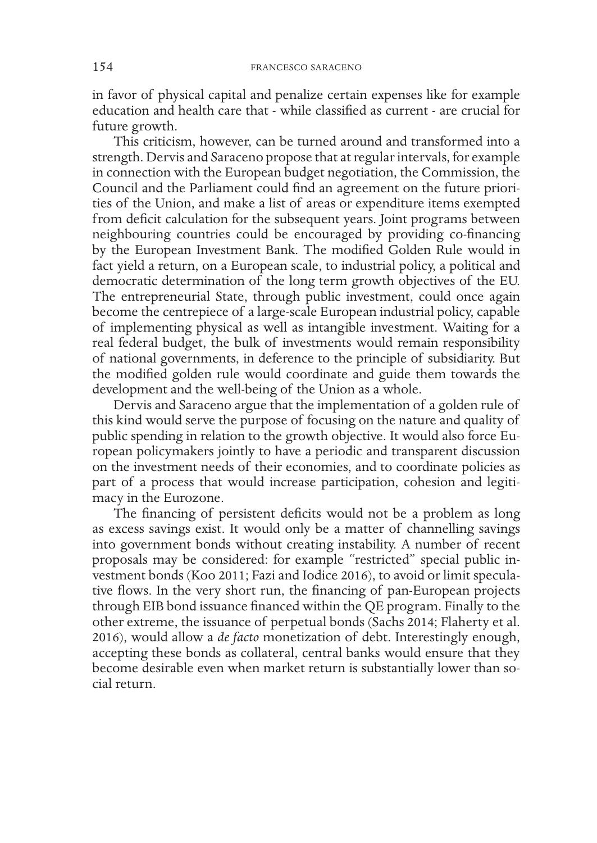in favor of physical capital and penalize certain expenses like for example education and health care that - while classified as current - are crucial for future growth.

This criticism, however, can be turned around and transformed into a strength. Dervis and Saraceno propose that at regular intervals, for example in connection with the European budget negotiation, the Commission, the Council and the Parliament could find an agreement on the future priorities of the Union, and make a list of areas or expenditure items exempted from deficit calculation for the subsequent years. Joint programs between neighbouring countries could be encouraged by providing co-financing by the European Investment Bank. The modified Golden Rule would in fact yield a return, on a European scale, to industrial policy, a political and democratic determination of the long term growth objectives of the EU. The entrepreneurial State, through public investment, could once again become the centrepiece of a large-scale European industrial policy, capable of implementing physical as well as intangible investment. Waiting for a real federal budget, the bulk of investments would remain responsibility of national governments, in deference to the principle of subsidiarity. But the modified golden rule would coordinate and guide them towards the development and the well-being of the Union as a whole.

Dervis and Saraceno argue that the implementation of a golden rule of this kind would serve the purpose of focusing on the nature and quality of public spending in relation to the growth objective. It would also force European policymakers jointly to have a periodic and transparent discussion on the investment needs of their economies, and to coordinate policies as part of a process that would increase participation, cohesion and legitimacy in the Eurozone.

The financing of persistent deficits would not be a problem as long as excess savings exist. It would only be a matter of channelling savings into government bonds without creating instability. A number of recent proposals may be considered: for example "restricted" special public investment bonds (Koo 2011; Fazi and Iodice 2016), to avoid or limit speculative flows. In the very short run, the financing of pan-European projects through EIB bond issuance financed within the QE program. Finally to the other extreme, the issuance of perpetual bonds (Sachs 2014; Flaherty et al. 2016), would allow a *de facto* monetization of debt. Interestingly enough, accepting these bonds as collateral, central banks would ensure that they become desirable even when market return is substantially lower than social return.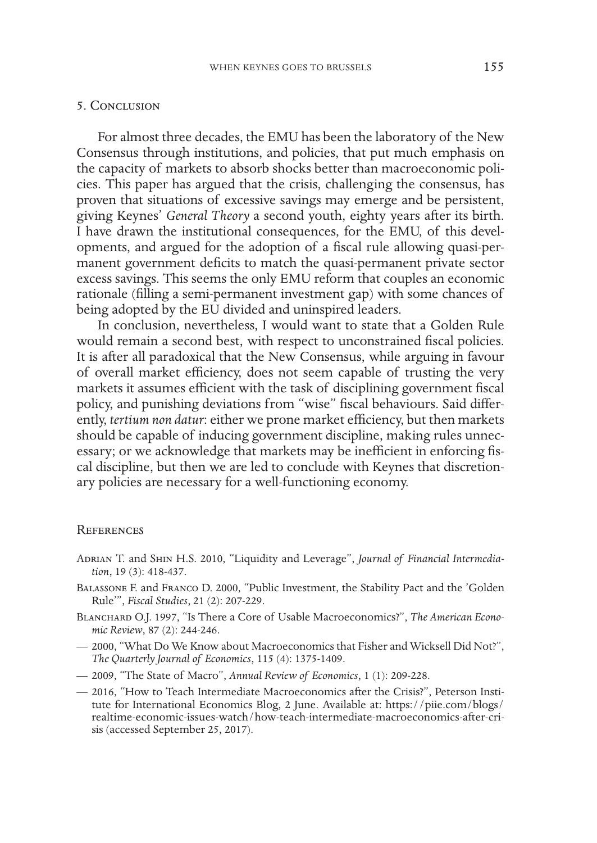### 5. Conclusion

For almost three decades, the EMU has been the laboratory of the New Consensus through institutions, and policies, that put much emphasis on the capacity of markets to absorb shocks better than macroeconomic policies. This paper has argued that the crisis, challenging the consensus, has proven that situations of excessive savings may emerge and be persistent, giving Keynes' *General Theory* a second youth, eighty years after its birth. I have drawn the institutional consequences, for the EMU, of this developments, and argued for the adoption of a fiscal rule allowing quasi-permanent government deficits to match the quasi-permanent private sector excess savings. This seems the only EMU reform that couples an economic rationale (filling a semi-permanent investment gap) with some chances of being adopted by the EU divided and uninspired leaders.

In conclusion, nevertheless, I would want to state that a Golden Rule would remain a second best, with respect to unconstrained fiscal policies. It is after all paradoxical that the New Consensus, while arguing in favour of overall market efficiency, does not seem capable of trusting the very markets it assumes efficient with the task of disciplining government fiscal policy, and punishing deviations from "wise" fiscal behaviours. Said differently, *tertium non datur*: either we prone market efficiency, but then markets should be capable of inducing government discipline, making rules unnecessary; or we acknowledge that markets may be inefficient in enforcing fiscal discipline, but then we are led to conclude with Keynes that discretionary policies are necessary for a well-functioning economy.

#### **REFERENCES**

- Adrian T. and Shin H.S. 2010, "Liquidity and Leverage", *Journal of Financial Intermediation*, 19 (3): 418-437.
- Balassone F. and Franco D. 2000, "Public Investment, the Stability Pact and the 'Golden Rule'", *Fiscal Studies*, 21 (2): 207-229.
- BLANCHARD O.J. 1997, "Is There a Core of Usable Macroeconomics?", The American Econo*mic Review*, 87 (2): 244-246.
- 2000, "What Do We Know about Macroeconomics that Fisher and Wicksell Did Not?", *The Quarterly Journal of Economics*, 115 (4): 1375-1409.
- 2009, "The State of Macro", *Annual Review of Economics*, 1 (1): 209-228.
- 2016, "How to Teach Intermediate Macroeconomics after the Crisis?", Peterson Institute for International Economics Blog, 2 June. Available at: https://piie.com/blogs/ realtime-economic-issues-watch/how-teach-intermediate-macroeconomics-after-crisis (accessed September 25, 2017).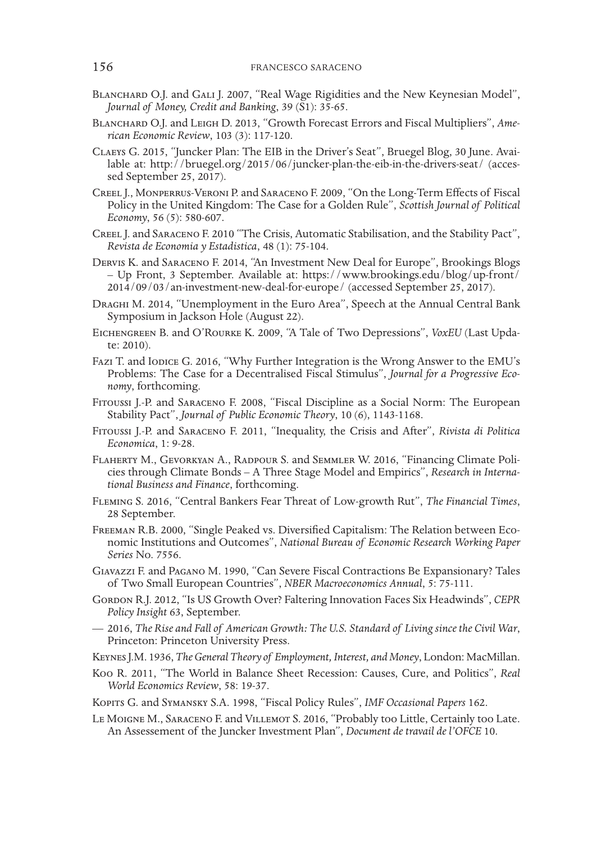- BLANCHARD O.J. and GALI J. 2007, "Real Wage Rigidities and the New Keynesian Model", *Journal of Money, Credit and Banking*, 39 (S1): 35-65.
- Blanchard O.J. and Leigh D. 2013, "Growth Forecast Errors and Fiscal Multipliers", *Ame- rican Economic Review*, 103 (3): 117-120.
- Claeys G. 2015, "Juncker Plan: The EIB in the Driver's Seat", Bruegel Blog, 30 June. Avai- lable at: http://bruegel.org/2015/06/juncker-plan-the-eib-in-the-drivers-seat/ (acces- sed September 25, 2017).
- Creel J., Monperrus-Veroni P. and Saraceno F. 2009, "On the Long-Term Effects of Fiscal Policy in the United Kingdom: The Case for a Golden Rule", *Scottish Journal of Political Economy*, 56 (5): 580-607.
- Creel J. and Saraceno F. 2010 "The Crisis, Automatic Stabilisation, and the Stability Pact", *Revista de Economia y Estadistica*, 48 (1): 75-104.
- Dervis K. and Saraceno F. 2014, "An Investment New Deal for Europe", Brookings Blogs – Up Front, 3 September. Available at: https://www.brookings.edu/blog/up-front/ 2014/09/03/an-investment-new-deal-for-europe/ (accessed September 25, 2017).
- Draghi M. 2014, "Unemployment in the Euro Area", Speech at the Annual Central Bank Symposium in Jackson Hole (August 22).
- EICHENGREEN B. and O'ROURKE K. 2009, "A Tale of Two Depressions", *VoxEU* (Last Update: 2010).
- Fazi T. and Iodice G. 2016, "Why Further Integration is the Wrong Answer to the EMU's Problems: The Case for a Decentralised Fiscal Stimulus", *Journal for a Progressive Eco- nomy*, forthcoming.
- Fitoussi J.-P. and Saraceno F. 2008, "Fiscal Discipline as a Social Norm: The European Stability Pact", *Journal of Public Economic Theory*, 10 (6), 1143-1168.
- Fitoussi J.-P. and Saraceno F. 2011, "Inequality, the Crisis and After", *Rivista di Politica Economica*, 1: 9-28.
- Flaherty M., Gevorkyan A., Radpour S. and Semmler W. 2016, "Financing Climate Policies through Climate Bonds – A Three Stage Model and Empirics", *Research in International Business and Finance*, forthcoming.
- Fleming S. 2016, "Central Bankers Fear Threat of Low-growth Rut", *The Financial Times*, 28 September.
- Freeman R.B. 2000, "Single Peaked vs. Diversified Capitalism: The Relation between Economic Institutions and Outcomes", *National Bureau of Economic Research Working Paper Series* No. 7556.
- Giavazzi F. and Pagano M. 1990, "Can Severe Fiscal Contractions Be Expansionary? Tales of Two Small European Countries", *NBER Macroeconomics Annual*, 5: 75-111.
- GORDON R.J. 2012, "Is US Growth Over? Faltering Innovation Faces Six Headwinds", CEPR *Policy Insight* 63, September.
- 2016, *The Rise and Fall of American Growth: The U.S. Standard of Living since the Civil War*, Princeton: Princeton University Press.
- Keynes J.M. 1936, *The General Theory of Employment, Interest, and Money*, London: MacMillan.
- Koo R. 2011, "The World in Balance Sheet Recession: Causes, Cure, and Politics", *Real World Economics Review*, 58: 19-37.
- Kopits G. and Symansky S.A. 1998, "Fiscal Policy Rules", *IMF Occasional Papers* 162.
- Le Moigne M., Saraceno F. and Villemot S. 2016, "Probably too Little, Certainly too Late. An Assessement of the Juncker Investment Plan", *Document de travail de l'OFCE* 10.